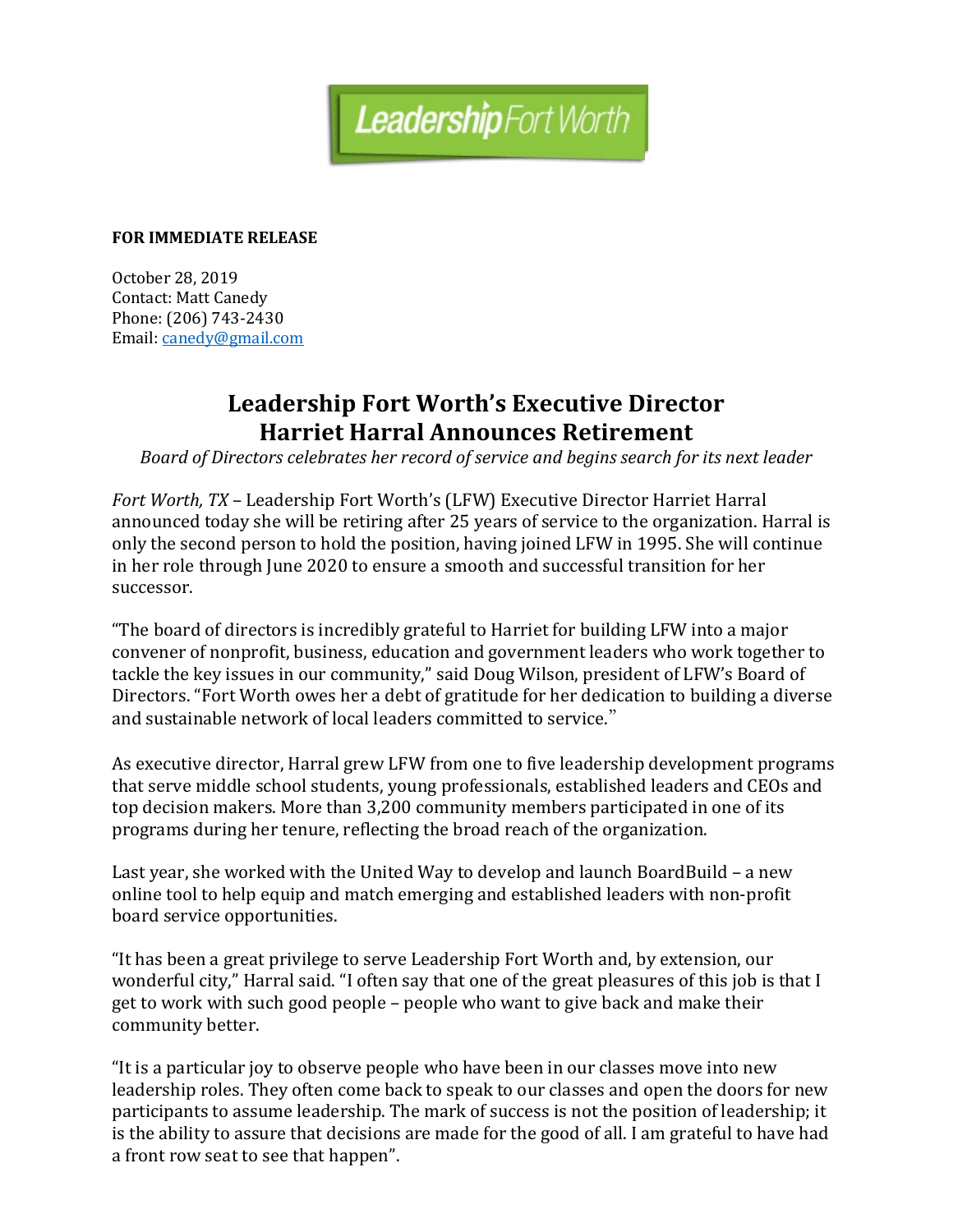

## **FOR IMMEDIATE RELEASE**

October 28, 2019 Contact: Matt Canedy Phone: (206) 743-2430 Email: [canedy@gmail.com](mailto:canedy@gmail.com)

## **Leadership Fort Worth's Executive Director Harriet Harral Announces Retirement**

*Board of Directors celebrates her record of service and begins search for its next leader*

*Fort Worth, TX* – Leadership Fort Worth's (LFW) Executive Director Harriet Harral announced today she will be retiring after 25 years of service to the organization. Harral is only the second person to hold the position, having joined LFW in 1995. She will continue in her role through June 2020 to ensure a smooth and successful transition for her successor.

"The board of directors is incredibly grateful to Harriet for building LFW into a major convener of nonprofit, business, education and government leaders who work together to tackle the key issues in our community," said Doug Wilson, president of LFW's Board of Directors. "Fort Worth owes her a debt of gratitude for her dedication to building a diverse and sustainable network of local leaders committed to service."

As executive director, Harral grew LFW from one to five leadership development programs that serve middle school students, young professionals, established leaders and CEOs and top decision makers. More than 3,200 community members participated in one of its programs during her tenure, reflecting the broad reach of the organization.

Last year, she worked with the United Way to develop and launch BoardBuild – a new online tool to help equip and match emerging and established leaders with non-profit board service opportunities.

"It has been a great privilege to serve Leadership Fort Worth and, by extension, our wonderful city," Harral said. "I often say that one of the great pleasures of this job is that I get to work with such good people – people who want to give back and make their community better.

"It is a particular joy to observe people who have been in our classes move into new leadership roles. They often come back to speak to our classes and open the doors for new participants to assume leadership. The mark of success is not the position of leadership; it is the ability to assure that decisions are made for the good of all. I am grateful to have had a front row seat to see that happen".